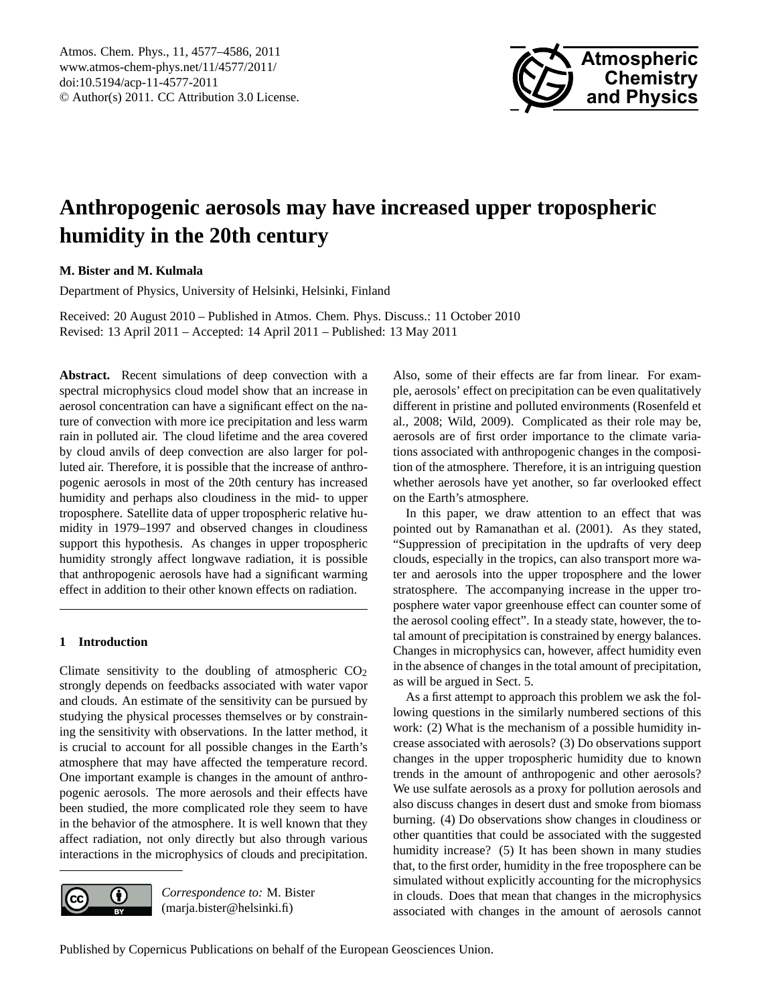

# <span id="page-0-0"></span>**Anthropogenic aerosols may have increased upper tropospheric humidity in the 20th century**

# **M. Bister and M. Kulmala**

Department of Physics, University of Helsinki, Helsinki, Finland

Received: 20 August 2010 – Published in Atmos. Chem. Phys. Discuss.: 11 October 2010 Revised: 13 April 2011 – Accepted: 14 April 2011 – Published: 13 May 2011

Abstract. Recent simulations of deep convection with a spectral microphysics cloud model show that an increase in aerosol concentration can have a significant effect on the nature of convection with more ice precipitation and less warm rain in polluted air. The cloud lifetime and the area covered by cloud anvils of deep convection are also larger for polluted air. Therefore, it is possible that the increase of anthropogenic aerosols in most of the 20th century has increased humidity and perhaps also cloudiness in the mid- to upper troposphere. Satellite data of upper tropospheric relative humidity in 1979–1997 and observed changes in cloudiness support this hypothesis. As changes in upper tropospheric humidity strongly affect longwave radiation, it is possible that anthropogenic aerosols have had a significant warming effect in addition to their other known effects on radiation.

#### **1 Introduction**

Climate sensitivity to the doubling of atmospheric  $CO<sub>2</sub>$ strongly depends on feedbacks associated with water vapor and clouds. An estimate of the sensitivity can be pursued by studying the physical processes themselves or by constraining the sensitivity with observations. In the latter method, it is crucial to account for all possible changes in the Earth's atmosphere that may have affected the temperature record. One important example is changes in the amount of anthropogenic aerosols. The more aerosols and their effects have been studied, the more complicated role they seem to have in the behavior of the atmosphere. It is well known that they affect radiation, not only directly but also through various interactions in the microphysics of clouds and precipitation.



*Correspondence to:* M. Bister (marja.bister@helsinki.fi)

Also, some of their effects are far from linear. For example, aerosols' effect on precipitation can be even qualitatively different in pristine and polluted environments (Rosenfeld et al., 2008; Wild, 2009). Complicated as their role may be, aerosols are of first order importance to the climate variations associated with anthropogenic changes in the composition of the atmosphere. Therefore, it is an intriguing question whether aerosols have yet another, so far overlooked effect on the Earth's atmosphere.

In this paper, we draw attention to an effect that was pointed out by Ramanathan et al. (2001). As they stated, "Suppression of precipitation in the updrafts of very deep clouds, especially in the tropics, can also transport more water and aerosols into the upper troposphere and the lower stratosphere. The accompanying increase in the upper troposphere water vapor greenhouse effect can counter some of the aerosol cooling effect". In a steady state, however, the total amount of precipitation is constrained by energy balances. Changes in microphysics can, however, affect humidity even in the absence of changes in the total amount of precipitation, as will be argued in Sect. 5.

As a first attempt to approach this problem we ask the following questions in the similarly numbered sections of this work: (2) What is the mechanism of a possible humidity increase associated with aerosols? (3) Do observations support changes in the upper tropospheric humidity due to known trends in the amount of anthropogenic and other aerosols? We use sulfate aerosols as a proxy for pollution aerosols and also discuss changes in desert dust and smoke from biomass burning. (4) Do observations show changes in cloudiness or other quantities that could be associated with the suggested humidity increase? (5) It has been shown in many studies that, to the first order, humidity in the free troposphere can be simulated without explicitly accounting for the microphysics in clouds. Does that mean that changes in the microphysics associated with changes in the amount of aerosols cannot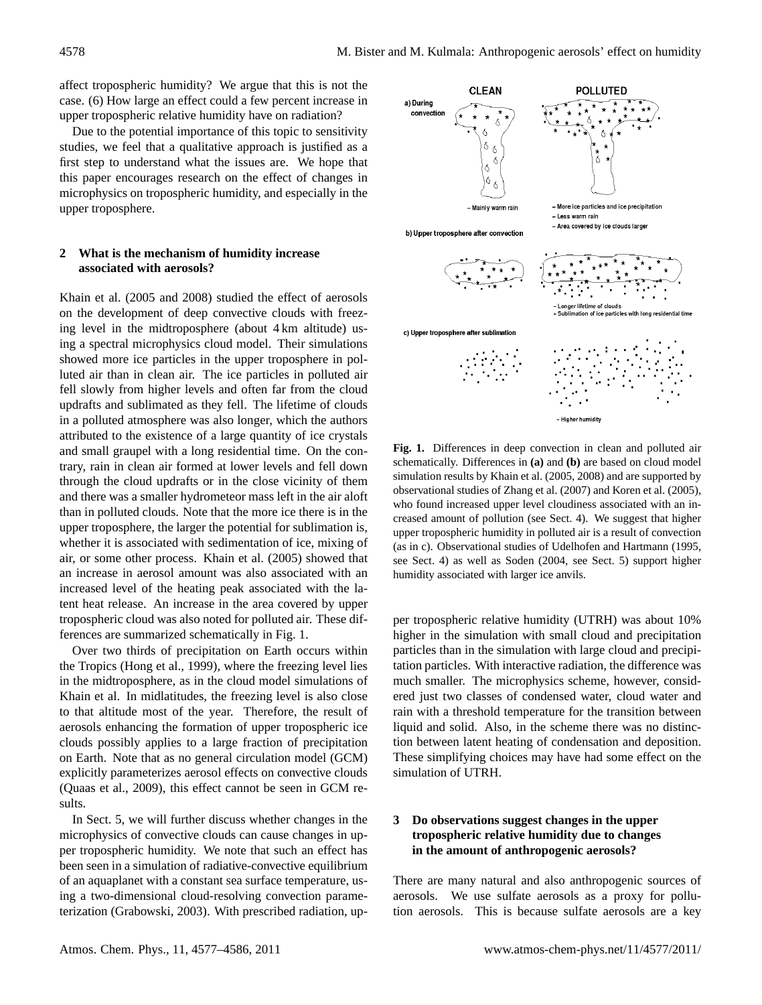affect tropospheric humidity? We argue that this is not the case. (6) How large an effect could a few percent increase in upper tropospheric relative humidity have on radiation?

Due to the potential importance of this topic to sensitivity studies, we feel that a qualitative approach is justified as a first step to understand what the issues are. We hope that this paper encourages research on the effect of changes in microphysics on tropospheric humidity, and especially in the upper troposphere.

#### **2 What is the mechanism of humidity increase associated with aerosols?**

Khain et al. (2005 and 2008) studied the effect of aerosols on the development of deep convective clouds with freezing level in the midtroposphere (about 4 km altitude) using a spectral microphysics cloud model. Their simulations showed more ice particles in the upper troposphere in polluted air than in clean air. The ice particles in polluted air fell slowly from higher levels and often far from the cloud updrafts and sublimated as they fell. The lifetime of clouds in a polluted atmosphere was also longer, which the authors attributed to the existence of a large quantity of ice crystals and small graupel with a long residential time. On the contrary, rain in clean air formed at lower levels and fell down through the cloud updrafts or in the close vicinity of them and there was a smaller hydrometeor mass left in the air aloft than in polluted clouds. Note that the more ice there is in the upper troposphere, the larger the potential for sublimation is, whether it is associated with sedimentation of ice, mixing of air, or some other process. Khain et al. (2005) showed that an increase in aerosol amount was also associated with an increased level of the heating peak associated with the latent heat release. An increase in the area covered by upper tropospheric cloud was also noted for polluted air. These differences are summarized schematically in Fig. 1.

Over two thirds of precipitation on Earth occurs within the Tropics (Hong et al., 1999), where the freezing level lies in the midtroposphere, as in the cloud model simulations of Khain et al. In midlatitudes, the freezing level is also close to that altitude most of the year. Therefore, the result of aerosols enhancing the formation of upper tropospheric ice clouds possibly applies to a large fraction of precipitation on Earth. Note that as no general circulation model (GCM) explicitly parameterizes aerosol effects on convective clouds (Quaas et al., 2009), this effect cannot be seen in GCM results.

In Sect. 5, we will further discuss whether changes in the microphysics of convective clouds can cause changes in upper tropospheric humidity. We note that such an effect has been seen in a simulation of radiative-convective equilibrium of an aquaplanet with a constant sea surface temperature, using a two-dimensional cloud-resolving convection parameterization (Grabowski, 2003). With prescribed radiation, up-



23 (as in c). Observational studies of Udelhofen and Hartmann (1995, Fig. 1. Differences in deep convection in clean and polluted air schematically. Differences in **(a)** and **(b)** are based on cloud model simulation results by Khain et al. (2005, 2008) and are supported by observational studies of Zhang et al. (2007) and Koren et al. (2005), who found increased upper level cloudiness associated with an increased amount of pollution (see Sect. 4). We suggest that higher upper tropospheric humidity in polluted air is a result of convection see Sect. 4) as well as Soden (2004, see Sect. 5) support higher humidity associated with larger ice anvils.

per tropospheric relative humidity (UTRH) was about 10% higher in the simulation with small cloud and precipitation particles than in the simulation with large cloud and precipitation particles. With interactive radiation, the difference was much smaller. The microphysics scheme, however, considered just two classes of condensed water, cloud water and rain with a threshold temperature for the transition between liquid and solid. Also, in the scheme there was no distinction between latent heating of condensation and deposition. These simplifying choices may have had some effect on the simulation of UTRH.

## **3 Do observations suggest changes in the upper tropospheric relative humidity due to changes in the amount of anthropogenic aerosols?**

There are many natural and also anthropogenic sources of aerosols. We use sulfate aerosols as a proxy for pollution aerosols. This is because sulfate aerosols are a key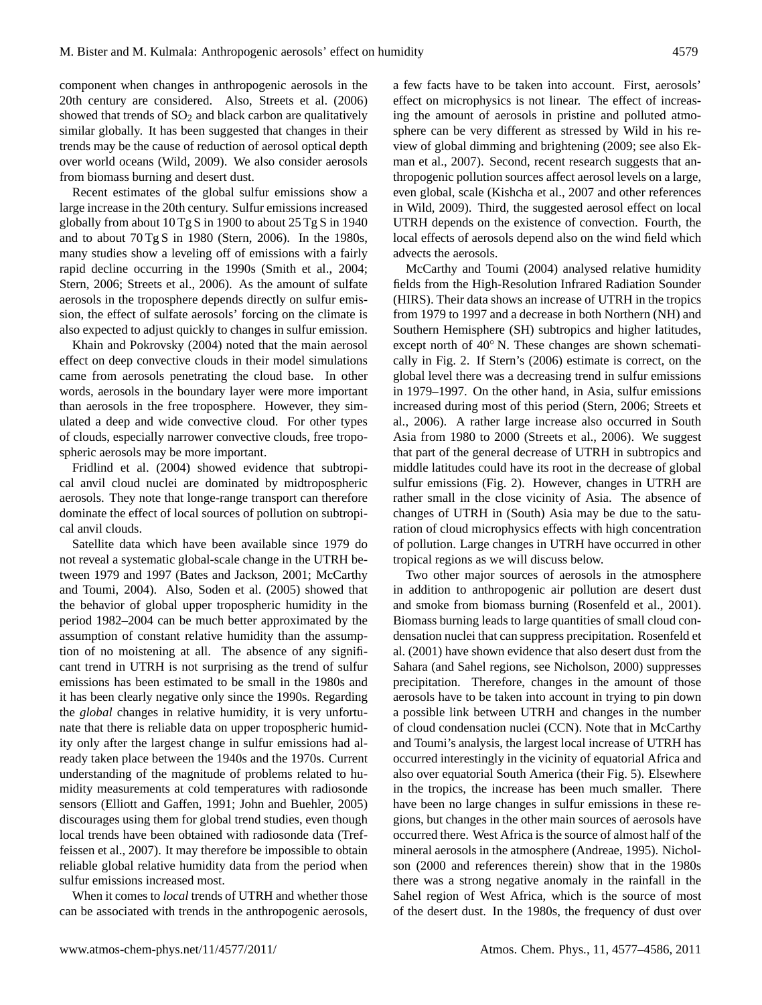component when changes in anthropogenic aerosols in the 20th century are considered. Also, Streets et al. (2006) showed that trends of  $SO<sub>2</sub>$  and black carbon are qualitatively similar globally. It has been suggested that changes in their trends may be the cause of reduction of aerosol optical depth over world oceans (Wild, 2009). We also consider aerosols from biomass burning and desert dust.

Recent estimates of the global sulfur emissions show a large increase in the 20th century. Sulfur emissions increased globally from about 10 Tg S in 1900 to about 25 Tg S in 1940 and to about 70 Tg S in 1980 (Stern, 2006). In the 1980s, many studies show a leveling off of emissions with a fairly rapid decline occurring in the 1990s (Smith et al., 2004; Stern, 2006; Streets et al., 2006). As the amount of sulfate aerosols in the troposphere depends directly on sulfur emission, the effect of sulfate aerosols' forcing on the climate is also expected to adjust quickly to changes in sulfur emission.

Khain and Pokrovsky (2004) noted that the main aerosol effect on deep convective clouds in their model simulations came from aerosols penetrating the cloud base. In other words, aerosols in the boundary layer were more important than aerosols in the free troposphere. However, they simulated a deep and wide convective cloud. For other types of clouds, especially narrower convective clouds, free tropospheric aerosols may be more important.

Fridlind et al. (2004) showed evidence that subtropical anvil cloud nuclei are dominated by midtropospheric aerosols. They note that longe-range transport can therefore dominate the effect of local sources of pollution on subtropical anvil clouds.

Satellite data which have been available since 1979 do not reveal a systematic global-scale change in the UTRH between 1979 and 1997 (Bates and Jackson, 2001; McCarthy and Toumi, 2004). Also, Soden et al. (2005) showed that the behavior of global upper tropospheric humidity in the period 1982–2004 can be much better approximated by the assumption of constant relative humidity than the assumption of no moistening at all. The absence of any significant trend in UTRH is not surprising as the trend of sulfur emissions has been estimated to be small in the 1980s and it has been clearly negative only since the 1990s. Regarding the *global* changes in relative humidity, it is very unfortunate that there is reliable data on upper tropospheric humidity only after the largest change in sulfur emissions had already taken place between the 1940s and the 1970s. Current understanding of the magnitude of problems related to humidity measurements at cold temperatures with radiosonde sensors (Elliott and Gaffen, 1991; John and Buehler, 2005) discourages using them for global trend studies, even though local trends have been obtained with radiosonde data (Treffeissen et al., 2007). It may therefore be impossible to obtain reliable global relative humidity data from the period when sulfur emissions increased most.

When it comes to *local* trends of UTRH and whether those can be associated with trends in the anthropogenic aerosols, a few facts have to be taken into account. First, aerosols' effect on microphysics is not linear. The effect of increasing the amount of aerosols in pristine and polluted atmosphere can be very different as stressed by Wild in his review of global dimming and brightening (2009; see also Ekman et al., 2007). Second, recent research suggests that anthropogenic pollution sources affect aerosol levels on a large, even global, scale (Kishcha et al., 2007 and other references in Wild, 2009). Third, the suggested aerosol effect on local UTRH depends on the existence of convection. Fourth, the local effects of aerosols depend also on the wind field which advects the aerosols.

McCarthy and Toumi (2004) analysed relative humidity fields from the High-Resolution Infrared Radiation Sounder (HIRS). Their data shows an increase of UTRH in the tropics from 1979 to 1997 and a decrease in both Northern (NH) and Southern Hemisphere (SH) subtropics and higher latitudes, except north of 40<sup>°</sup> N. These changes are shown schematically in Fig. 2. If Stern's (2006) estimate is correct, on the global level there was a decreasing trend in sulfur emissions in 1979–1997. On the other hand, in Asia, sulfur emissions increased during most of this period (Stern, 2006; Streets et al., 2006). A rather large increase also occurred in South Asia from 1980 to 2000 (Streets et al., 2006). We suggest that part of the general decrease of UTRH in subtropics and middle latitudes could have its root in the decrease of global sulfur emissions (Fig. 2). However, changes in UTRH are rather small in the close vicinity of Asia. The absence of changes of UTRH in (South) Asia may be due to the saturation of cloud microphysics effects with high concentration of pollution. Large changes in UTRH have occurred in other tropical regions as we will discuss below.

Two other major sources of aerosols in the atmosphere in addition to anthropogenic air pollution are desert dust and smoke from biomass burning (Rosenfeld et al., 2001). Biomass burning leads to large quantities of small cloud condensation nuclei that can suppress precipitation. Rosenfeld et al. (2001) have shown evidence that also desert dust from the Sahara (and Sahel regions, see Nicholson, 2000) suppresses precipitation. Therefore, changes in the amount of those aerosols have to be taken into account in trying to pin down a possible link between UTRH and changes in the number of cloud condensation nuclei (CCN). Note that in McCarthy and Toumi's analysis, the largest local increase of UTRH has occurred interestingly in the vicinity of equatorial Africa and also over equatorial South America (their Fig. 5). Elsewhere in the tropics, the increase has been much smaller. There have been no large changes in sulfur emissions in these regions, but changes in the other main sources of aerosols have occurred there. West Africa is the source of almost half of the mineral aerosols in the atmosphere (Andreae, 1995). Nicholson (2000 and references therein) show that in the 1980s there was a strong negative anomaly in the rainfall in the Sahel region of West Africa, which is the source of most of the desert dust. In the 1980s, the frequency of dust over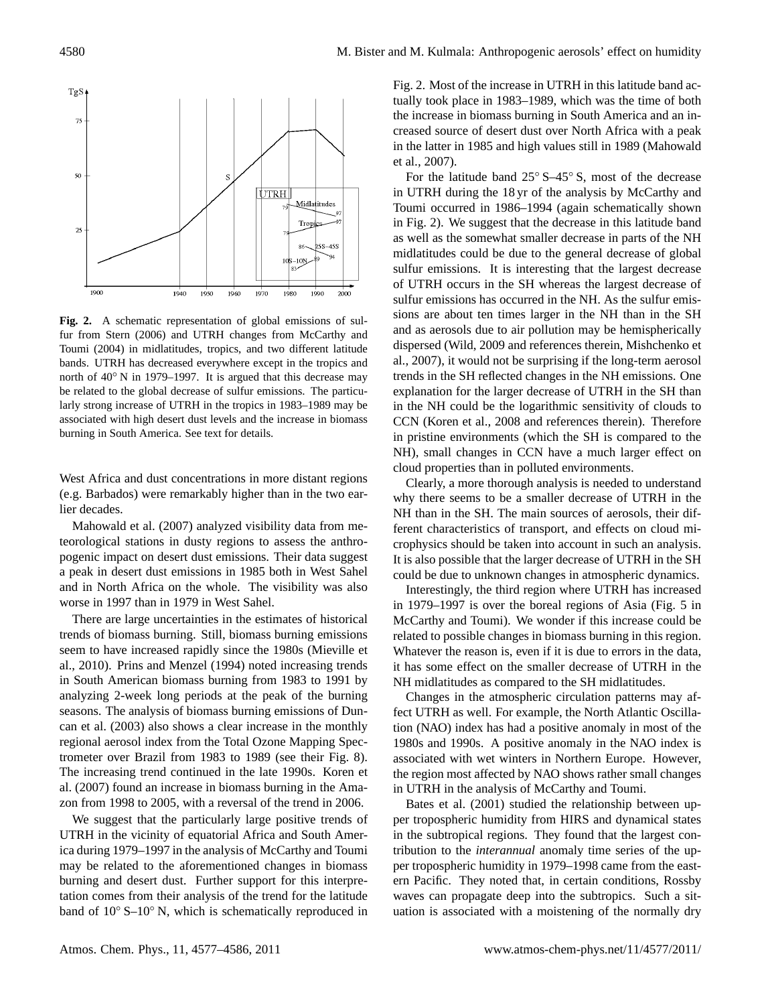

5 **Fig. 2.** A schematic representation of global emissions of sul-Toumi (2004) in midlatitudes, tropics, and two different latitude bands. UTRH has decreased everywhere except in the tropics and  $8.88 \times 10^{-10}$  latitude bands. UTRH decreased every where  $\frac{1}{100}$ north of 40° N in 1979–1997. It is argued that this decrease may be related to the global decrease of sulfur emissions. The particularly strong increase of UTRH in the tropics in 1983–1989 may be associated with high desert dust levels and the increase in biomass fur from Stern (2006) and UTRH changes from McCarthy and burning in South America. See text for details.

West Africa and dust concentrations in more distant regions (e.g. Barbados) were remarkably higher than in the two earlier decades.

Mahowald et al. (2007) analyzed visibility data from meteorological stations in dusty regions to assess the anthropogenic impact on desert dust emissions. Their data suggest a peak in desert dust emissions in 1985 both in West Sahel and in North Africa on the whole. The visibility was also worse in 1997 than in 1979 in West Sahel.

There are large uncertainties in the estimates of historical trends of biomass burning. Still, biomass burning emissions seem to have increased rapidly since the 1980s (Mieville et al., 2010). Prins and Menzel (1994) noted increasing trends in South American biomass burning from 1983 to 1991 by analyzing 2-week long periods at the peak of the burning seasons. The analysis of biomass burning emissions of Duncan et al. (2003) also shows a clear increase in the monthly regional aerosol index from the Total Ozone Mapping Spectrometer over Brazil from 1983 to 1989 (see their Fig. 8). The increasing trend continued in the late 1990s. Koren et al. (2007) found an increase in biomass burning in the Amazon from 1998 to 2005, with a reversal of the trend in 2006.

We suggest that the particularly large positive trends of UTRH in the vicinity of equatorial Africa and South America during 1979–1997 in the analysis of McCarthy and Toumi may be related to the aforementioned changes in biomass burning and desert dust. Further support for this interpretation comes from their analysis of the trend for the latitude band of 10◦ S–10◦ N, which is schematically reproduced in Fig. 2. Most of the increase in UTRH in this latitude band actually took place in 1983–1989, which was the time of both the increase in biomass burning in South America and an increased source of desert dust over North Africa with a peak in the latter in 1985 and high values still in 1989 (Mahowald et al., 2007).

For the latitude band 25◦ S–45◦ S, most of the decrease in UTRH during the 18 yr of the analysis by McCarthy and Toumi occurred in 1986–1994 (again schematically shown in Fig. 2). We suggest that the decrease in this latitude band as well as the somewhat smaller decrease in parts of the NH midlatitudes could be due to the general decrease of global sulfur emissions. It is interesting that the largest decrease of UTRH occurs in the SH whereas the largest decrease of sulfur emissions has occurred in the NH. As the sulfur emissions are about ten times larger in the NH than in the SH and as aerosols due to air pollution may be hemispherically dispersed (Wild, 2009 and references therein, Mishchenko et al., 2007), it would not be surprising if the long-term aerosol trends in the SH reflected changes in the NH emissions. One explanation for the larger decrease of UTRH in the SH than in the NH could be the logarithmic sensitivity of clouds to CCN (Koren et al., 2008 and references therein). Therefore in pristine environments (which the SH is compared to the NH), small changes in CCN have a much larger effect on cloud properties than in polluted environments.

Clearly, a more thorough analysis is needed to understand why there seems to be a smaller decrease of UTRH in the NH than in the SH. The main sources of aerosols, their different characteristics of transport, and effects on cloud microphysics should be taken into account in such an analysis. It is also possible that the larger decrease of UTRH in the SH could be due to unknown changes in atmospheric dynamics.

Interestingly, the third region where UTRH has increased in 1979–1997 is over the boreal regions of Asia (Fig. 5 in McCarthy and Toumi). We wonder if this increase could be related to possible changes in biomass burning in this region. Whatever the reason is, even if it is due to errors in the data, it has some effect on the smaller decrease of UTRH in the NH midlatitudes as compared to the SH midlatitudes.

Changes in the atmospheric circulation patterns may affect UTRH as well. For example, the North Atlantic Oscillation (NAO) index has had a positive anomaly in most of the 1980s and 1990s. A positive anomaly in the NAO index is associated with wet winters in Northern Europe. However, the region most affected by NAO shows rather small changes in UTRH in the analysis of McCarthy and Toumi.

Bates et al. (2001) studied the relationship between upper tropospheric humidity from HIRS and dynamical states in the subtropical regions. They found that the largest contribution to the *interannual* anomaly time series of the upper tropospheric humidity in 1979–1998 came from the eastern Pacific. They noted that, in certain conditions, Rossby waves can propagate deep into the subtropics. Such a situation is associated with a moistening of the normally dry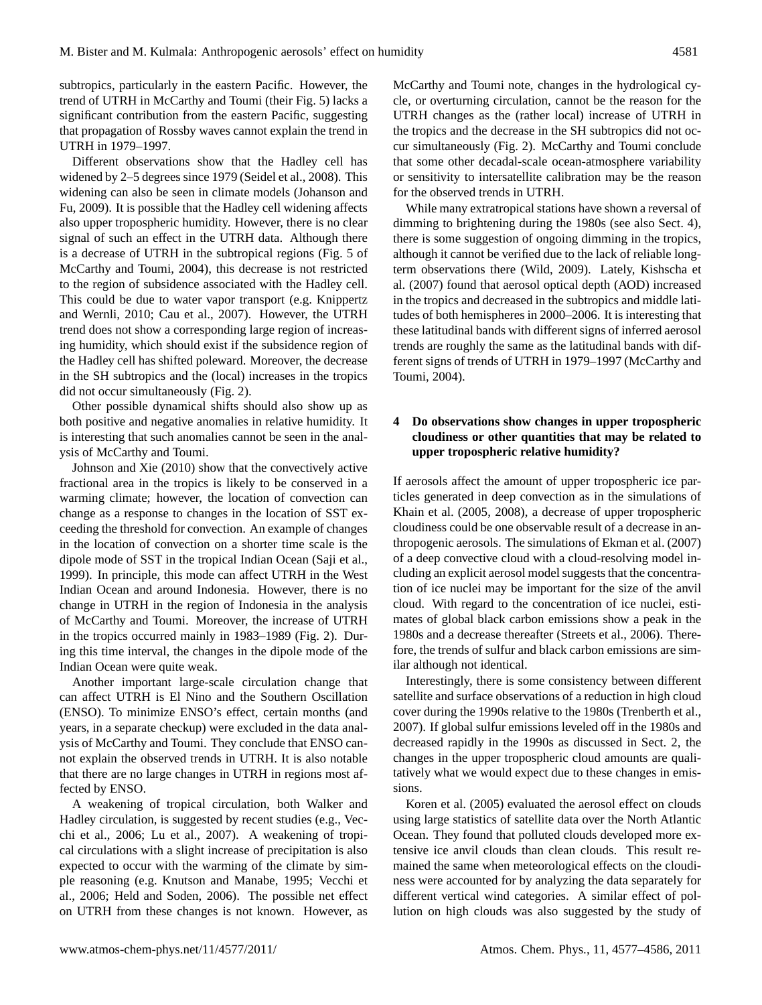subtropics, particularly in the eastern Pacific. However, the trend of UTRH in McCarthy and Toumi (their Fig. 5) lacks a significant contribution from the eastern Pacific, suggesting that propagation of Rossby waves cannot explain the trend in UTRH in 1979–1997.

Different observations show that the Hadley cell has widened by 2–5 degrees since 1979 (Seidel et al., 2008). This widening can also be seen in climate models (Johanson and Fu, 2009). It is possible that the Hadley cell widening affects also upper tropospheric humidity. However, there is no clear signal of such an effect in the UTRH data. Although there is a decrease of UTRH in the subtropical regions (Fig. 5 of McCarthy and Toumi, 2004), this decrease is not restricted to the region of subsidence associated with the Hadley cell. This could be due to water vapor transport (e.g. Knippertz and Wernli, 2010; Cau et al., 2007). However, the UTRH trend does not show a corresponding large region of increasing humidity, which should exist if the subsidence region of the Hadley cell has shifted poleward. Moreover, the decrease in the SH subtropics and the (local) increases in the tropics did not occur simultaneously (Fig. 2).

Other possible dynamical shifts should also show up as both positive and negative anomalies in relative humidity. It is interesting that such anomalies cannot be seen in the analysis of McCarthy and Toumi.

Johnson and Xie (2010) show that the convectively active fractional area in the tropics is likely to be conserved in a warming climate; however, the location of convection can change as a response to changes in the location of SST exceeding the threshold for convection. An example of changes in the location of convection on a shorter time scale is the dipole mode of SST in the tropical Indian Ocean (Saji et al., 1999). In principle, this mode can affect UTRH in the West Indian Ocean and around Indonesia. However, there is no change in UTRH in the region of Indonesia in the analysis of McCarthy and Toumi. Moreover, the increase of UTRH in the tropics occurred mainly in 1983–1989 (Fig. 2). During this time interval, the changes in the dipole mode of the Indian Ocean were quite weak.

Another important large-scale circulation change that can affect UTRH is El Nino and the Southern Oscillation (ENSO). To minimize ENSO's effect, certain months (and years, in a separate checkup) were excluded in the data analysis of McCarthy and Toumi. They conclude that ENSO cannot explain the observed trends in UTRH. It is also notable that there are no large changes in UTRH in regions most affected by ENSO.

A weakening of tropical circulation, both Walker and Hadley circulation, is suggested by recent studies (e.g., Vecchi et al., 2006; Lu et al., 2007). A weakening of tropical circulations with a slight increase of precipitation is also expected to occur with the warming of the climate by simple reasoning (e.g. Knutson and Manabe, 1995; Vecchi et al., 2006; Held and Soden, 2006). The possible net effect on UTRH from these changes is not known. However, as McCarthy and Toumi note, changes in the hydrological cycle, or overturning circulation, cannot be the reason for the UTRH changes as the (rather local) increase of UTRH in the tropics and the decrease in the SH subtropics did not occur simultaneously (Fig. 2). McCarthy and Toumi conclude that some other decadal-scale ocean-atmosphere variability or sensitivity to intersatellite calibration may be the reason for the observed trends in UTRH.

While many extratropical stations have shown a reversal of dimming to brightening during the 1980s (see also Sect. 4), there is some suggestion of ongoing dimming in the tropics, although it cannot be verified due to the lack of reliable longterm observations there (Wild, 2009). Lately, Kishscha et al. (2007) found that aerosol optical depth (AOD) increased in the tropics and decreased in the subtropics and middle latitudes of both hemispheres in 2000–2006. It is interesting that these latitudinal bands with different signs of inferred aerosol trends are roughly the same as the latitudinal bands with different signs of trends of UTRH in 1979–1997 (McCarthy and Toumi, 2004).

#### **4 Do observations show changes in upper tropospheric cloudiness or other quantities that may be related to upper tropospheric relative humidity?**

If aerosols affect the amount of upper tropospheric ice particles generated in deep convection as in the simulations of Khain et al. (2005, 2008), a decrease of upper tropospheric cloudiness could be one observable result of a decrease in anthropogenic aerosols. The simulations of Ekman et al. (2007) of a deep convective cloud with a cloud-resolving model including an explicit aerosol model suggests that the concentration of ice nuclei may be important for the size of the anvil cloud. With regard to the concentration of ice nuclei, estimates of global black carbon emissions show a peak in the 1980s and a decrease thereafter (Streets et al., 2006). Therefore, the trends of sulfur and black carbon emissions are similar although not identical.

Interestingly, there is some consistency between different satellite and surface observations of a reduction in high cloud cover during the 1990s relative to the 1980s (Trenberth et al., 2007). If global sulfur emissions leveled off in the 1980s and decreased rapidly in the 1990s as discussed in Sect. 2, the changes in the upper tropospheric cloud amounts are qualitatively what we would expect due to these changes in emissions.

Koren et al. (2005) evaluated the aerosol effect on clouds using large statistics of satellite data over the North Atlantic Ocean. They found that polluted clouds developed more extensive ice anvil clouds than clean clouds. This result remained the same when meteorological effects on the cloudiness were accounted for by analyzing the data separately for different vertical wind categories. A similar effect of pollution on high clouds was also suggested by the study of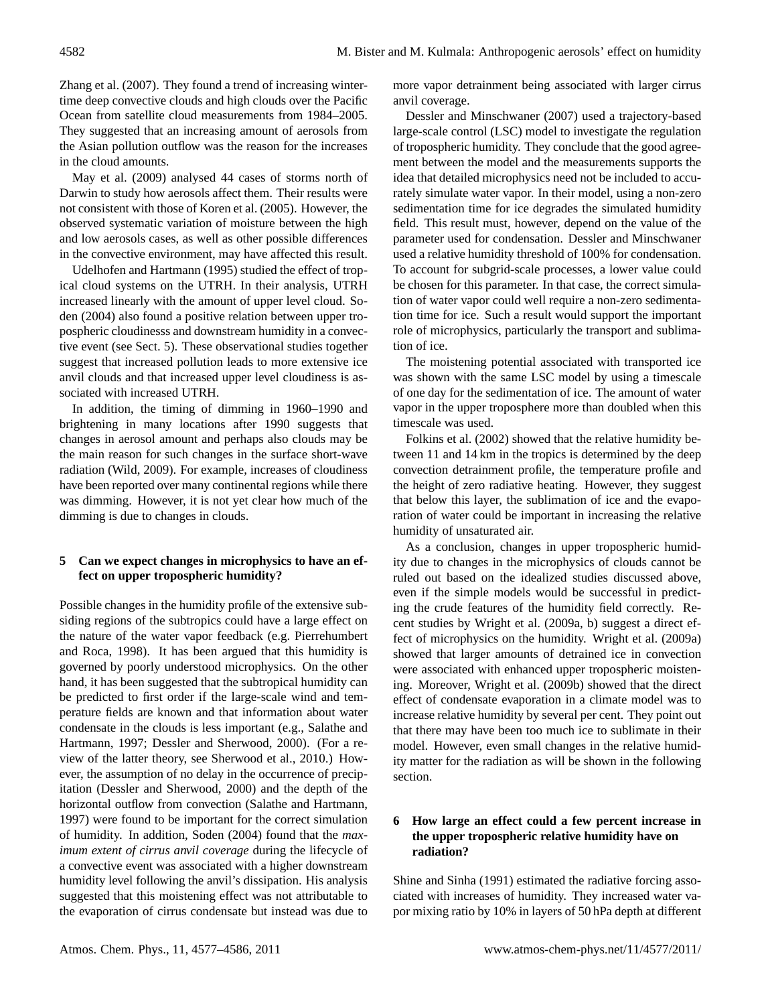Zhang et al. (2007). They found a trend of increasing wintertime deep convective clouds and high clouds over the Pacific Ocean from satellite cloud measurements from 1984–2005. They suggested that an increasing amount of aerosols from the Asian pollution outflow was the reason for the increases in the cloud amounts.

May et al. (2009) analysed 44 cases of storms north of Darwin to study how aerosols affect them. Their results were not consistent with those of Koren et al. (2005). However, the observed systematic variation of moisture between the high and low aerosols cases, as well as other possible differences in the convective environment, may have affected this result.

Udelhofen and Hartmann (1995) studied the effect of tropical cloud systems on the UTRH. In their analysis, UTRH increased linearly with the amount of upper level cloud. Soden (2004) also found a positive relation between upper tropospheric cloudinesss and downstream humidity in a convective event (see Sect. 5). These observational studies together suggest that increased pollution leads to more extensive ice anvil clouds and that increased upper level cloudiness is associated with increased UTRH.

In addition, the timing of dimming in 1960–1990 and brightening in many locations after 1990 suggests that changes in aerosol amount and perhaps also clouds may be the main reason for such changes in the surface short-wave radiation (Wild, 2009). For example, increases of cloudiness have been reported over many continental regions while there was dimming. However, it is not yet clear how much of the dimming is due to changes in clouds.

#### **5 Can we expect changes in microphysics to have an effect on upper tropospheric humidity?**

Possible changes in the humidity profile of the extensive subsiding regions of the subtropics could have a large effect on the nature of the water vapor feedback (e.g. Pierrehumbert and Roca, 1998). It has been argued that this humidity is governed by poorly understood microphysics. On the other hand, it has been suggested that the subtropical humidity can be predicted to first order if the large-scale wind and temperature fields are known and that information about water condensate in the clouds is less important (e.g., Salathe and Hartmann, 1997; Dessler and Sherwood, 2000). (For a review of the latter theory, see Sherwood et al., 2010.) However, the assumption of no delay in the occurrence of precipitation (Dessler and Sherwood, 2000) and the depth of the horizontal outflow from convection (Salathe and Hartmann, 1997) were found to be important for the correct simulation of humidity. In addition, Soden (2004) found that the *maximum extent of cirrus anvil coverage* during the lifecycle of a convective event was associated with a higher downstream humidity level following the anvil's dissipation. His analysis suggested that this moistening effect was not attributable to the evaporation of cirrus condensate but instead was due to

more vapor detrainment being associated with larger cirrus anvil coverage.

Dessler and Minschwaner (2007) used a trajectory-based large-scale control (LSC) model to investigate the regulation of tropospheric humidity. They conclude that the good agreement between the model and the measurements supports the idea that detailed microphysics need not be included to accurately simulate water vapor. In their model, using a non-zero sedimentation time for ice degrades the simulated humidity field. This result must, however, depend on the value of the parameter used for condensation. Dessler and Minschwaner used a relative humidity threshold of 100% for condensation. To account for subgrid-scale processes, a lower value could be chosen for this parameter. In that case, the correct simulation of water vapor could well require a non-zero sedimentation time for ice. Such a result would support the important role of microphysics, particularly the transport and sublimation of ice.

The moistening potential associated with transported ice was shown with the same LSC model by using a timescale of one day for the sedimentation of ice. The amount of water vapor in the upper troposphere more than doubled when this timescale was used.

Folkins et al. (2002) showed that the relative humidity between 11 and 14 km in the tropics is determined by the deep convection detrainment profile, the temperature profile and the height of zero radiative heating. However, they suggest that below this layer, the sublimation of ice and the evaporation of water could be important in increasing the relative humidity of unsaturated air.

As a conclusion, changes in upper tropospheric humidity due to changes in the microphysics of clouds cannot be ruled out based on the idealized studies discussed above, even if the simple models would be successful in predicting the crude features of the humidity field correctly. Recent studies by Wright et al. (2009a, b) suggest a direct effect of microphysics on the humidity. Wright et al. (2009a) showed that larger amounts of detrained ice in convection were associated with enhanced upper tropospheric moistening. Moreover, Wright et al. (2009b) showed that the direct effect of condensate evaporation in a climate model was to increase relative humidity by several per cent. They point out that there may have been too much ice to sublimate in their model. However, even small changes in the relative humidity matter for the radiation as will be shown in the following section.

## **6 How large an effect could a few percent increase in the upper tropospheric relative humidity have on radiation?**

Shine and Sinha (1991) estimated the radiative forcing associated with increases of humidity. They increased water vapor mixing ratio by 10% in layers of 50 hPa depth at different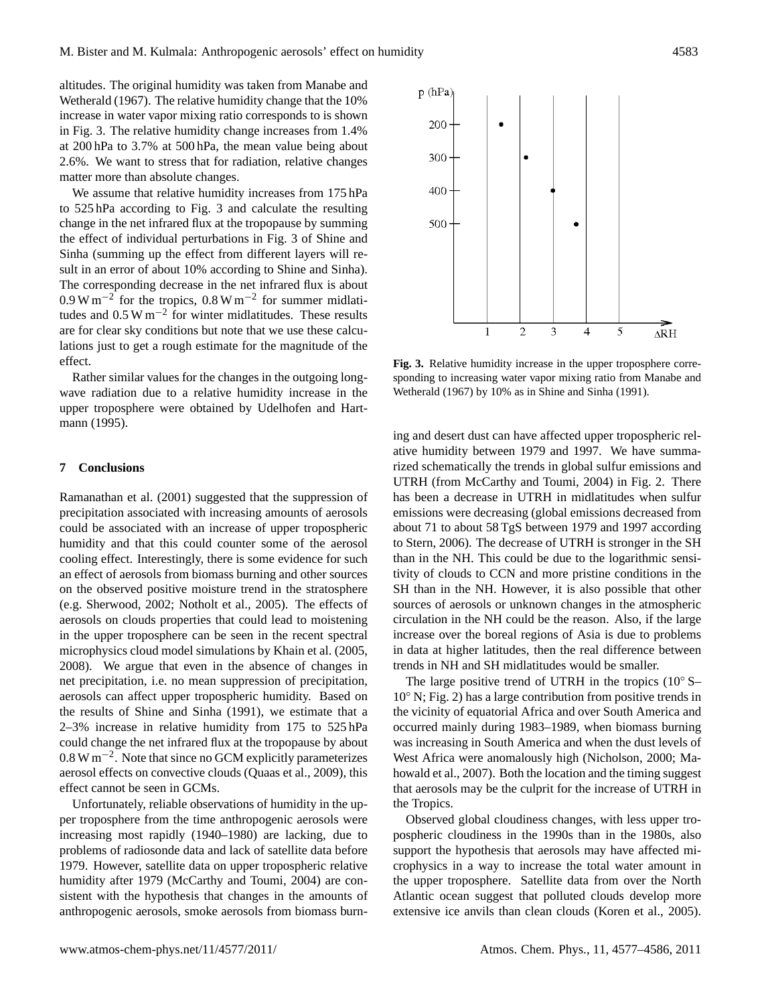altitudes. The original humidity was taken from Manabe and Wetherald (1967). The relative humidity change that the 10% increase in water vapor mixing ratio corresponds to is shown in Fig. 3. The relative humidity change increases from 1.4% at 200 hPa to 3.7% at 500 hPa, the mean value being about 2.6%. We want to stress that for radiation, relative changes matter more than absolute changes.

We assume that relative humidity increases from 175 hPa to 525 hPa according to Fig. 3 and calculate the resulting change in the net infrared flux at the tropopause by summing the effect of individual perturbations in Fig. 3 of Shine and Sinha (summing up the effect from different layers will result in an error of about 10% according to Shine and Sinha). The corresponding decrease in the net infrared flux is about  $0.9 \text{ W m}^{-2}$  for the tropics,  $0.8 \text{ W m}^{-2}$  for summer midlatitudes and  $0.5 \text{ W m}^{-2}$  for winter midlatitudes. These results are for clear sky conditions but note that we use these calculations just to get a rough estimate for the magnitude of the effect.

Rather similar values for the changes in the outgoing longwave radiation due to a relative humidity increase in the upper troposphere were obtained by Udelhofen and Hartmann (1995).

#### **7 Conclusions**

Ramanathan et al. (2001) suggested that the suppression of precipitation associated with increasing amounts of aerosols could be associated with an increase of upper tropospheric humidity and that this could counter some of the aerosol cooling effect. Interestingly, there is some evidence for such an effect of aerosols from biomass burning and other sources on the observed positive moisture trend in the stratosphere (e.g. Sherwood, 2002; Notholt et al., 2005). The effects of aerosols on clouds properties that could lead to moistening in the upper troposphere can be seen in the recent spectral microphysics cloud model simulations by Khain et al. (2005, 2008). We argue that even in the absence of changes in net precipitation, i.e. no mean suppression of precipitation, aerosols can affect upper tropospheric humidity. Based on the results of Shine and Sinha (1991), we estimate that a 2–3% increase in relative humidity from 175 to 525 hPa could change the net infrared flux at the tropopause by about 0.8 W m−<sup>2</sup> . Note that since no GCM explicitly parameterizes aerosol effects on convective clouds (Quaas et al., 2009), this effect cannot be seen in GCMs.

Unfortunately, reliable observations of humidity in the upper troposphere from the time anthropogenic aerosols were increasing most rapidly (1940–1980) are lacking, due to problems of radiosonde data and lack of satellite data before 1979. However, satellite data on upper tropospheric relative humidity after 1979 (McCarthy and Toumi, 2004) are consistent with the hypothesis that changes in the amounts of anthropogenic aerosols, smoke aerosols from biomass burn-



Fig. 3. Relative humidity increase in the upper troposphere corresponding to increasing water vapor mixing ratio from Manabe and Wetherald (1967) by 10% as in Shine and Sinha (1991).

ative humidity between 1979 and 1997. We have summaing and desert dust can have affected upper tropospheric relrized schematically the trends in global sulfur emissions and UTRH (from McCarthy and Toumi, 2004) in Fig. 2. There has been a decrease in UTRH in midlatitudes when sulfur emissions were decreasing (global emissions decreased from about 71 to about 58 TgS between 1979 and 1997 according to Stern, 2006). The decrease of UTRH is stronger in the SH than in the NH. This could be due to the logarithmic sensitivity of clouds to CCN and more pristine conditions in the SH than in the NH. However, it is also possible that other sources of aerosols or unknown changes in the atmospheric circulation in the NH could be the reason. Also, if the large increase over the boreal regions of Asia is due to problems in data at higher latitudes, then the real difference between trends in NH and SH midlatitudes would be smaller.

The large positive trend of UTRH in the tropics  $(10° S<sub>−</sub>)$ 10◦ N; Fig. 2) has a large contribution from positive trends in the vicinity of equatorial Africa and over South America and occurred mainly during 1983–1989, when biomass burning was increasing in South America and when the dust levels of West Africa were anomalously high (Nicholson, 2000; Mahowald et al., 2007). Both the location and the timing suggest that aerosols may be the culprit for the increase of UTRH in the Tropics.

Observed global cloudiness changes, with less upper tropospheric cloudiness in the 1990s than in the 1980s, also support the hypothesis that aerosols may have affected microphysics in a way to increase the total water amount in the upper troposphere. Satellite data from over the North Atlantic ocean suggest that polluted clouds develop more extensive ice anvils than clean clouds (Koren et al., 2005).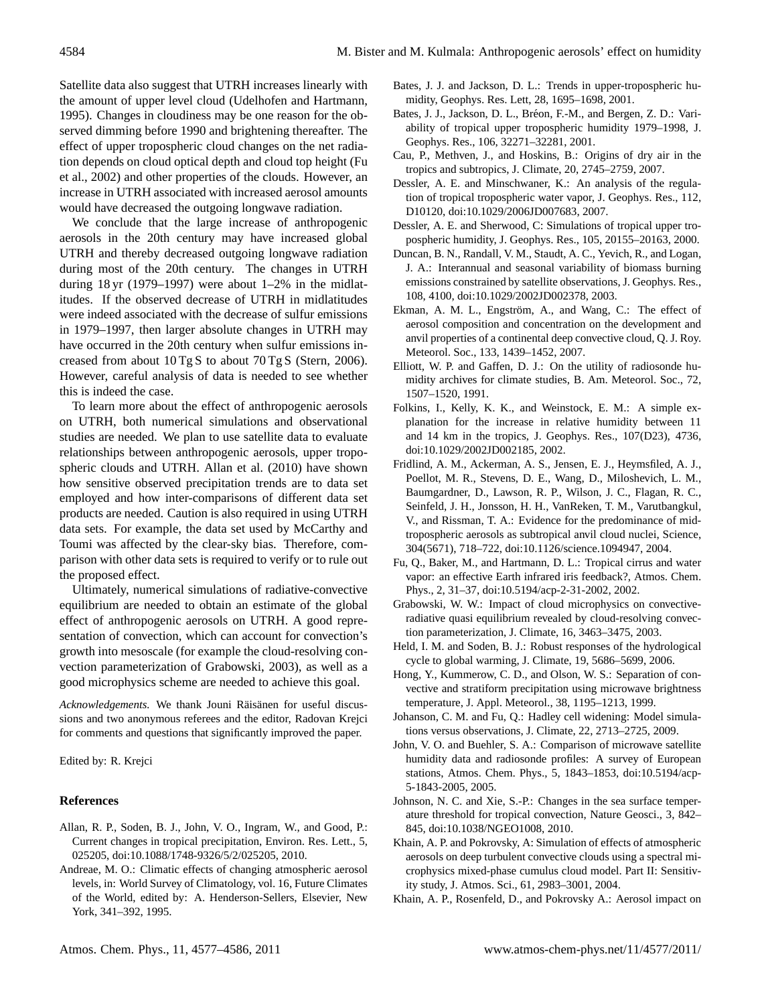Satellite data also suggest that UTRH increases linearly with the amount of upper level cloud (Udelhofen and Hartmann, 1995). Changes in cloudiness may be one reason for the observed dimming before 1990 and brightening thereafter. The effect of upper tropospheric cloud changes on the net radiation depends on cloud optical depth and cloud top height (Fu et al., 2002) and other properties of the clouds. However, an increase in UTRH associated with increased aerosol amounts would have decreased the outgoing longwave radiation.

We conclude that the large increase of anthropogenic aerosols in the 20th century may have increased global UTRH and thereby decreased outgoing longwave radiation during most of the 20th century. The changes in UTRH during  $18 \text{ yr}$  (1979–1997) were about 1–2% in the midlatitudes. If the observed decrease of UTRH in midlatitudes were indeed associated with the decrease of sulfur emissions in 1979–1997, then larger absolute changes in UTRH may have occurred in the 20th century when sulfur emissions increased from about 10 Tg S to about 70 Tg S (Stern, 2006). However, careful analysis of data is needed to see whether this is indeed the case.

To learn more about the effect of anthropogenic aerosols on UTRH, both numerical simulations and observational studies are needed. We plan to use satellite data to evaluate relationships between anthropogenic aerosols, upper tropospheric clouds and UTRH. Allan et al. (2010) have shown how sensitive observed precipitation trends are to data set employed and how inter-comparisons of different data set products are needed. Caution is also required in using UTRH data sets. For example, the data set used by McCarthy and Toumi was affected by the clear-sky bias. Therefore, comparison with other data sets is required to verify or to rule out the proposed effect.

Ultimately, numerical simulations of radiative-convective equilibrium are needed to obtain an estimate of the global effect of anthropogenic aerosols on UTRH. A good representation of convection, which can account for convection's growth into mesoscale (for example the cloud-resolving convection parameterization of Grabowski, 2003), as well as a good microphysics scheme are needed to achieve this goal.

*Acknowledgements*. We thank Jouni Räisänen for useful discussions and two anonymous referees and the editor, Radovan Krejci for comments and questions that significantly improved the paper.

Edited by: R. Krejci

#### **References**

- Allan, R. P., Soden, B. J., John, V. O., Ingram, W., and Good, P.: Current changes in tropical precipitation, Environ. Res. Lett., 5, 025205, [doi:10.1088/1748-9326/5/2/025205,](http://dx.doi.org/10.1088/1748-9326/5/2/025205) 2010.
- Andreae, M. O.: Climatic effects of changing atmospheric aerosol levels, in: World Survey of Climatology, vol. 16, Future Climates of the World, edited by: A. Henderson-Sellers, Elsevier, New York, 341–392, 1995.
- Bates, J. J. and Jackson, D. L.: Trends in upper-tropospheric humidity, Geophys. Res. Lett, 28, 1695–1698, 2001.
- Bates, J. J., Jackson, D. L., Bréon, F.-M., and Bergen, Z. D.: Variability of tropical upper tropospheric humidity 1979–1998, J. Geophys. Res., 106, 32271–32281, 2001.
- Cau, P., Methven, J., and Hoskins, B.: Origins of dry air in the tropics and subtropics, J. Climate, 20, 2745–2759, 2007.
- Dessler, A. E. and Minschwaner, K.: An analysis of the regulation of tropical tropospheric water vapor, J. Geophys. Res., 112, D10120, [doi:10.1029/2006JD007683,](http://dx.doi.org/10.1029/2006JD007683) 2007.
- Dessler, A. E. and Sherwood, C: Simulations of tropical upper tropospheric humidity, J. Geophys. Res., 105, 20155–20163, 2000.
- Duncan, B. N., Randall, V. M., Staudt, A. C., Yevich, R., and Logan, J. A.: Interannual and seasonal variability of biomass burning emissions constrained by satellite observations, J. Geophys. Res., 108, 4100, [doi:10.1029/2002JD002378,](http://dx.doi.org/10.1029/2002JD002378) 2003.
- Ekman, A. M. L., Engström, A., and Wang, C.: The effect of aerosol composition and concentration on the development and anvil properties of a continental deep convective cloud, Q. J. Roy. Meteorol. Soc., 133, 1439–1452, 2007.
- Elliott, W. P. and Gaffen, D. J.: On the utility of radiosonde humidity archives for climate studies, B. Am. Meteorol. Soc., 72, 1507–1520, 1991.
- Folkins, I., Kelly, K. K., and Weinstock, E. M.: A simple explanation for the increase in relative humidity between 11 and 14 km in the tropics, J. Geophys. Res., 107(D23), 4736, [doi:10.1029/2002JD002185,](http://dx.doi.org/10.1029/2002JD002185) 2002.
- Fridlind, A. M., Ackerman, A. S., Jensen, E. J., Heymsfiled, A. J., Poellot, M. R., Stevens, D. E., Wang, D., Miloshevich, L. M., Baumgardner, D., Lawson, R. P., Wilson, J. C., Flagan, R. C., Seinfeld, J. H., Jonsson, H. H., VanReken, T. M., Varutbangkul, V., and Rissman, T. A.: Evidence for the predominance of midtropospheric aerosols as subtropical anvil cloud nuclei, Science, 304(5671), 718–722, [doi:10.1126/science.1094947,](http://dx.doi.org/10.1126/science.1094947) 2004.
- Fu, Q., Baker, M., and Hartmann, D. L.: Tropical cirrus and water vapor: an effective Earth infrared iris feedback?, Atmos. Chem. Phys., 2, 31–37, [doi:10.5194/acp-2-31-2002,](http://dx.doi.org/10.5194/acp-2-31-2002) 2002.
- Grabowski, W. W.: Impact of cloud microphysics on convectiveradiative quasi equilibrium revealed by cloud-resolving convection parameterization, J. Climate, 16, 3463–3475, 2003.
- Held, I. M. and Soden, B. J.: Robust responses of the hydrological cycle to global warming, J. Climate, 19, 5686–5699, 2006.
- Hong, Y., Kummerow, C. D., and Olson, W. S.: Separation of convective and stratiform precipitation using microwave brightness temperature, J. Appl. Meteorol., 38, 1195–1213, 1999.
- Johanson, C. M. and Fu, Q.: Hadley cell widening: Model simulations versus observations, J. Climate, 22, 2713–2725, 2009.
- John, V. O. and Buehler, S. A.: Comparison of microwave satellite humidity data and radiosonde profiles: A survey of European stations, Atmos. Chem. Phys., 5, 1843–1853, [doi:10.5194/acp-](http://dx.doi.org/10.5194/acp-5-1843-2005)[5-1843-2005,](http://dx.doi.org/10.5194/acp-5-1843-2005) 2005.
- Johnson, N. C. and Xie, S.-P.: Changes in the sea surface temperature threshold for tropical convection, Nature Geosci., 3, 842– 845, [doi:10.1038/NGEO1008,](http://dx.doi.org/10.1038/NGEO1008) 2010.
- Khain, A. P. and Pokrovsky, A: Simulation of effects of atmospheric aerosols on deep turbulent convective clouds using a spectral microphysics mixed-phase cumulus cloud model. Part II: Sensitivity study, J. Atmos. Sci., 61, 2983–3001, 2004.
- Khain, A. P., Rosenfeld, D., and Pokrovsky A.: Aerosol impact on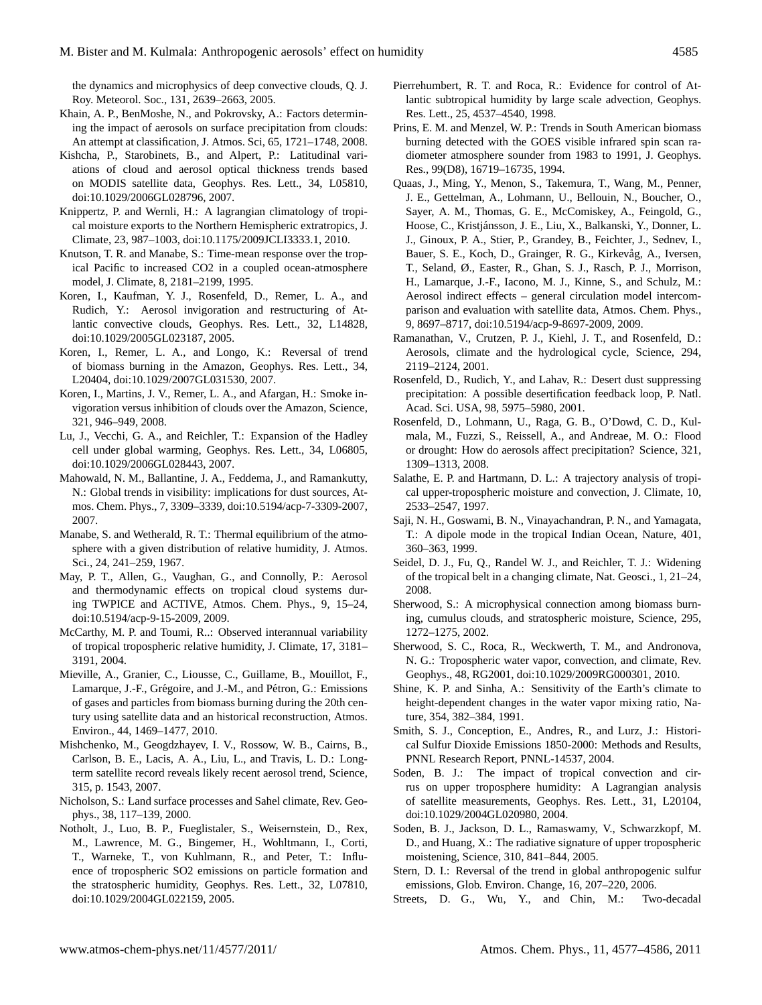the dynamics and microphysics of deep convective clouds, Q. J. Roy. Meteorol. Soc., 131, 2639–2663, 2005.

- Khain, A. P., BenMoshe, N., and Pokrovsky, A.: Factors determining the impact of aerosols on surface precipitation from clouds: An attempt at classification, J. Atmos. Sci, 65, 1721–1748, 2008.
- Kishcha, P., Starobinets, B., and Alpert, P.: Latitudinal variations of cloud and aerosol optical thickness trends based on MODIS satellite data, Geophys. Res. Lett., 34, L05810, [doi:10.1029/2006GL028796,](http://dx.doi.org/10.1029/2006GL028796) 2007.
- Knippertz, P. and Wernli, H.: A lagrangian climatology of tropical moisture exports to the Northern Hemispheric extratropics, J. Climate, 23, 987–1003, [doi:10.1175/2009JCLI3333.1,](http://dx.doi.org/10.1175/2009JCLI3333.1) 2010.
- Knutson, T. R. and Manabe, S.: Time-mean response over the tropical Pacific to increased CO2 in a coupled ocean-atmosphere model, J. Climate, 8, 2181–2199, 1995.
- Koren, I., Kaufman, Y. J., Rosenfeld, D., Remer, L. A., and Rudich, Y.: Aerosol invigoration and restructuring of Atlantic convective clouds, Geophys. Res. Lett., 32, L14828, [doi:10.1029/2005GL023187,](http://dx.doi.org/10.1029/2005GL023187) 2005.
- Koren, I., Remer, L. A., and Longo, K.: Reversal of trend of biomass burning in the Amazon, Geophys. Res. Lett., 34, L20404, [doi:10.1029/2007GL031530,](http://dx.doi.org/10.1029/2007GL031530) 2007.
- Koren, I., Martins, J. V., Remer, L. A., and Afargan, H.: Smoke invigoration versus inhibition of clouds over the Amazon, Science, 321, 946–949, 2008.
- Lu, J., Vecchi, G. A., and Reichler, T.: Expansion of the Hadley cell under global warming, Geophys. Res. Lett., 34, L06805, [doi:10.1029/2006GL028443,](http://dx.doi.org/10.1029/2006GL028443) 2007.
- Mahowald, N. M., Ballantine, J. A., Feddema, J., and Ramankutty, N.: Global trends in visibility: implications for dust sources, Atmos. Chem. Phys., 7, 3309–3339, [doi:10.5194/acp-7-3309-2007,](http://dx.doi.org/10.5194/acp-7-3309-2007) 2007.
- Manabe, S. and Wetherald, R. T.: Thermal equilibrium of the atmosphere with a given distribution of relative humidity, J. Atmos. Sci., 24, 241–259, 1967.
- May, P. T., Allen, G., Vaughan, G., and Connolly, P.: Aerosol and thermodynamic effects on tropical cloud systems during TWPICE and ACTIVE, Atmos. Chem. Phys., 9, 15–24, [doi:10.5194/acp-9-15-2009,](http://dx.doi.org/10.5194/acp-9-15-2009) 2009.
- McCarthy, M. P. and Toumi, R..: Observed interannual variability of tropical tropospheric relative humidity, J. Climate, 17, 3181– 3191, 2004.
- Mieville, A., Granier, C., Liousse, C., Guillame, B., Mouillot, F., Lamarque, J.-F., Grégoire, and J.-M., and Pétron, G.: Emissions of gases and particles from biomass burning during the 20th century using satellite data and an historical reconstruction, Atmos. Environ., 44, 1469–1477, 2010.
- Mishchenko, M., Geogdzhayev, I. V., Rossow, W. B., Cairns, B., Carlson, B. E., Lacis, A. A., Liu, L., and Travis, L. D.: Longterm satellite record reveals likely recent aerosol trend, Science, 315, p. 1543, 2007.
- Nicholson, S.: Land surface processes and Sahel climate, Rev. Geophys., 38, 117–139, 2000.
- Notholt, J., Luo, B. P., Fueglistaler, S., Weisernstein, D., Rex, M., Lawrence, M. G., Bingemer, H., Wohltmann, I., Corti, T., Warneke, T., von Kuhlmann, R., and Peter, T.: Influence of tropospheric SO2 emissions on particle formation and the stratospheric humidity, Geophys. Res. Lett., 32, L07810, [doi:10.1029/2004GL022159,](http://dx.doi.org/10.1029/2004GL022159) 2005.
- Pierrehumbert, R. T. and Roca, R.: Evidence for control of Atlantic subtropical humidity by large scale advection, Geophys. Res. Lett., 25, 4537–4540, 1998.
- Prins, E. M. and Menzel, W. P.: Trends in South American biomass burning detected with the GOES visible infrared spin scan radiometer atmosphere sounder from 1983 to 1991, J. Geophys. Res., 99(D8), 16719–16735, 1994.
- Quaas, J., Ming, Y., Menon, S., Takemura, T., Wang, M., Penner, J. E., Gettelman, A., Lohmann, U., Bellouin, N., Boucher, O., Sayer, A. M., Thomas, G. E., McComiskey, A., Feingold, G., Hoose, C., Kristjánsson, J. E., Liu, X., Balkanski, Y., Donner, L. J., Ginoux, P. A., Stier, P., Grandey, B., Feichter, J., Sednev, I., Bauer, S. E., Koch, D., Grainger, R. G., Kirkevåg, A., Iversen, T., Seland, Ø., Easter, R., Ghan, S. J., Rasch, P. J., Morrison, H., Lamarque, J.-F., Iacono, M. J., Kinne, S., and Schulz, M.: Aerosol indirect effects – general circulation model intercomparison and evaluation with satellite data, Atmos. Chem. Phys., 9, 8697–8717, [doi:10.5194/acp-9-8697-2009,](http://dx.doi.org/10.5194/acp-9-8697-2009) 2009.
- Ramanathan, V., Crutzen, P. J., Kiehl, J. T., and Rosenfeld, D.: Aerosols, climate and the hydrological cycle, Science, 294, 2119–2124, 2001.
- Rosenfeld, D., Rudich, Y., and Lahav, R.: Desert dust suppressing precipitation: A possible desertification feedback loop, P. Natl. Acad. Sci. USA, 98, 5975–5980, 2001.
- Rosenfeld, D., Lohmann, U., Raga, G. B., O'Dowd, C. D., Kulmala, M., Fuzzi, S., Reissell, A., and Andreae, M. O.: Flood or drought: How do aerosols affect precipitation? Science, 321, 1309–1313, 2008.
- Salathe, E. P. and Hartmann, D. L.: A trajectory analysis of tropical upper-tropospheric moisture and convection, J. Climate, 10, 2533–2547, 1997.
- Saji, N. H., Goswami, B. N., Vinayachandran, P. N., and Yamagata, T.: A dipole mode in the tropical Indian Ocean, Nature, 401, 360–363, 1999.
- Seidel, D. J., Fu, Q., Randel W. J., and Reichler, T. J.: Widening of the tropical belt in a changing climate, Nat. Geosci., 1, 21–24, 2008.
- Sherwood, S.: A microphysical connection among biomass burning, cumulus clouds, and stratospheric moisture, Science, 295, 1272–1275, 2002.
- Sherwood, S. C., Roca, R., Weckwerth, T. M., and Andronova, N. G.: Tropospheric water vapor, convection, and climate, Rev. Geophys., 48, RG2001, [doi:10.1029/2009RG000301,](http://dx.doi.org/10.1029/2009RG000301) 2010.
- Shine, K. P. and Sinha, A.: Sensitivity of the Earth's climate to height-dependent changes in the water vapor mixing ratio, Nature, 354, 382–384, 1991.
- Smith, S. J., Conception, E., Andres, R., and Lurz, J.: Historical Sulfur Dioxide Emissions 1850-2000: Methods and Results, PNNL Research Report, PNNL-14537, 2004.
- Soden, B. J.: The impact of tropical convection and cirrus on upper troposphere humidity: A Lagrangian analysis of satellite measurements, Geophys. Res. Lett., 31, L20104, [doi:10.1029/2004GL020980,](http://dx.doi.org/10.1029/2004GL020980) 2004.
- Soden, B. J., Jackson, D. L., Ramaswamy, V., Schwarzkopf, M. D., and Huang, X.: The radiative signature of upper tropospheric moistening, Science, 310, 841–844, 2005.
- Stern, D. I.: Reversal of the trend in global anthropogenic sulfur emissions, Glob. Environ. Change, 16, 207–220, 2006.
- Streets, D. G., Wu, Y., and Chin, M.: Two-decadal